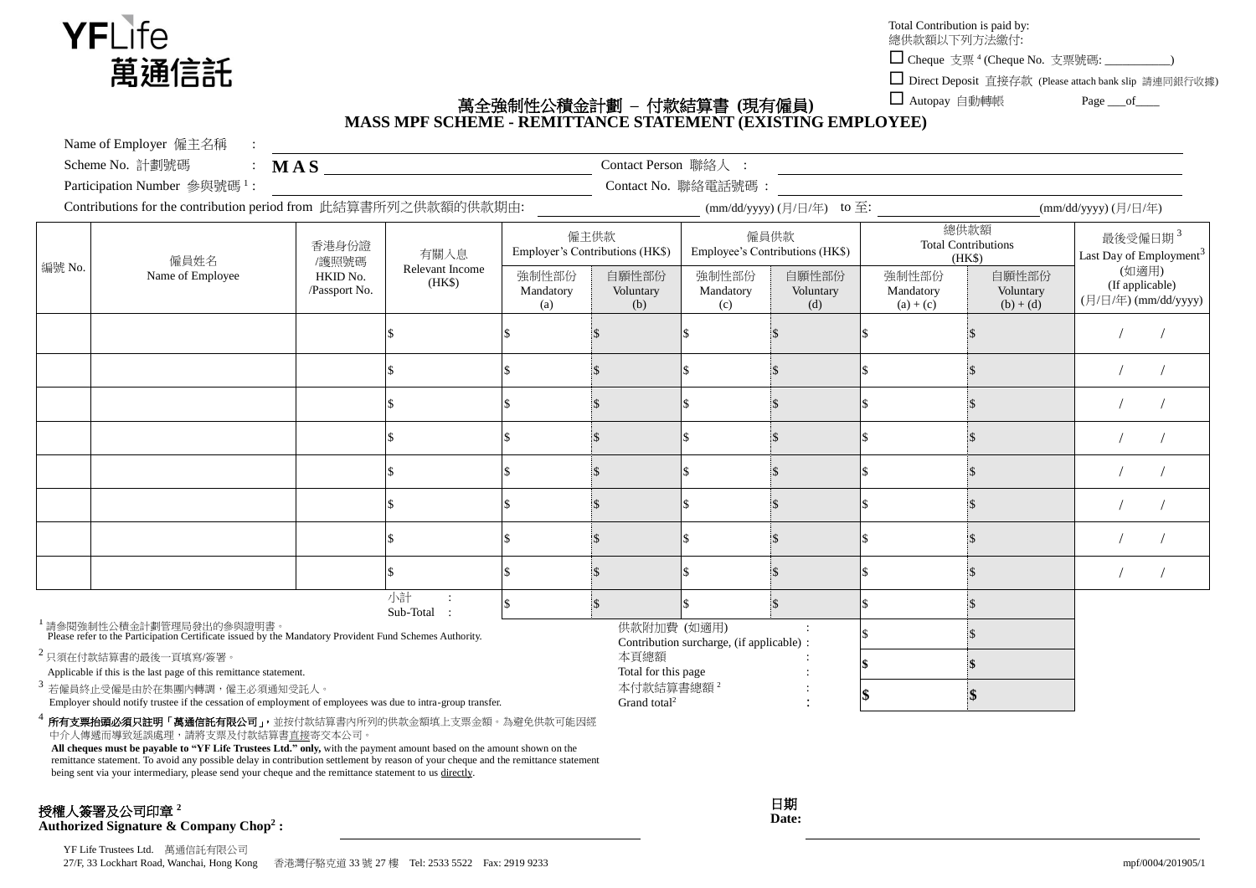

Total Contribution is paid by:

總供款額以下列方法繳付:

□ Cheque 支票<sup>4</sup> (Cheque No. 支票號碼: \_\_\_\_\_\_\_\_\_\_)

□ Direct Deposit 直接存款 (Please attach bank slip 請連同銀行收據)

 $\Box$  Autopay 自動轉帳 Page of

## 萬全強制性公積金計劃 **–** 付款結算書 **(**現有僱員**) MASS MPF SCHEME - REMITTANCE STATEMENT (EXISTING EMPLOYEE)**

Name of Employer 僱主名稱 :

| Scheme No. 計劃號碼 |  |  |  |
|-----------------|--|--|--|
|-----------------|--|--|--|

Participation Number 參與號碼<sup>1</sup>:

**MAS** Contact Person 聯絡人 : : Contact No. 聯絡電話號碼 :

Contributions for the contribution period from 此結算書所列之供款額的供款期由: (mm/dd/yyyy) (mm/dd/yyyy) (日/日/年) to 至: (mm/dd/yyyy) (日/日/年)

| Contributions for the contribution period from $\mu_{\text{UWDH}}(\#\text{H})/1/1/\mathcal{L}(\nu_{\text{UVH}}(\#\text{H})/1/\mathcal{N})$      |                          |                                             |                                   |                                         | $\lim_{\omega} \lim_{\omega} \frac{\omega}{\omega}$<br>$\dim \omega$ yyyyy $\cup$ $\cup$ $\vdash$ $\rightarrow$ |                                           |                           |                                              |                                   |                                                            |  |
|-------------------------------------------------------------------------------------------------------------------------------------------------|--------------------------|---------------------------------------------|-----------------------------------|-----------------------------------------|-----------------------------------------------------------------------------------------------------------------|-------------------------------------------|---------------------------|----------------------------------------------|-----------------------------------|------------------------------------------------------------|--|
| 編號 No.                                                                                                                                          | 僱員姓名<br>Name of Employee | 香港身份證<br>/護照號碼<br>HKID No.<br>/Passport No. | 有關入息<br>Relevant Income<br>(HK\$) | 僱主供款<br>Employer's Contributions (HK\$) |                                                                                                                 | 僱員供款<br>Employee's Contributions (HK\$)   |                           | 總供款額<br><b>Total Contributions</b><br>(HK\$) |                                   | 最後受僱日期 <sup>3</sup><br>Last Day of Employment <sup>3</sup> |  |
|                                                                                                                                                 |                          |                                             |                                   | 強制性部份<br>Mandatory<br>(a)               | 自願性部份<br>Voluntary<br>(b)                                                                                       | 強制性部份<br>Mandatory<br>(c)                 | 自願性部份<br>Voluntary<br>(d) | 強制性部份<br>Mandatory<br>$(a) + (c)$            | 自願性部份<br>Voluntary<br>$(b) + (d)$ | (如適用)<br>(If applicable)<br>(月/日/年) (mm/dd/yyyy)           |  |
|                                                                                                                                                 |                          |                                             |                                   |                                         |                                                                                                                 |                                           |                           |                                              |                                   |                                                            |  |
|                                                                                                                                                 |                          |                                             |                                   |                                         |                                                                                                                 |                                           |                           |                                              |                                   |                                                            |  |
|                                                                                                                                                 |                          |                                             |                                   |                                         |                                                                                                                 |                                           |                           |                                              |                                   |                                                            |  |
|                                                                                                                                                 |                          |                                             |                                   |                                         |                                                                                                                 |                                           |                           |                                              |                                   |                                                            |  |
|                                                                                                                                                 |                          |                                             |                                   |                                         |                                                                                                                 |                                           |                           |                                              |                                   |                                                            |  |
|                                                                                                                                                 |                          |                                             |                                   |                                         |                                                                                                                 |                                           |                           |                                              |                                   |                                                            |  |
|                                                                                                                                                 |                          |                                             |                                   |                                         |                                                                                                                 |                                           |                           |                                              |                                   |                                                            |  |
|                                                                                                                                                 |                          |                                             |                                   |                                         |                                                                                                                 |                                           |                           |                                              |                                   |                                                            |  |
|                                                                                                                                                 |                          |                                             | 小計<br>Sub-Total :                 |                                         |                                                                                                                 |                                           |                           |                                              |                                   |                                                            |  |
| <sup>1</sup> 請参閱強制性公積金計劃管理局發出的参與證明書。<br>Please refer to the Participation Certificate issued by the Mandatory Provident Fund Schemes Authority. |                          |                                             |                                   |                                         | 供款附加費 (如適用)                                                                                                     | Contribution surcharge, (if applicable) : |                           |                                              |                                   |                                                            |  |
| $2$ 只須在付款結算書的最後一頁填寫/簽署。<br>Applicable if this is the last page of this remittance statement.                                                    |                          |                                             |                                   | 本頁總額<br>Total for this page             |                                                                                                                 |                                           |                           |                                              |                                   |                                                            |  |

本付款結算書總額 <sup>2</sup>

Grand total<sup>2</sup>

Applicable if this is the last page of this remittance statement.

3 若僱員終止受僱是由於在集團內轉調,僱主必須通知受託人。

Employer should notify trustee if the cessation of employment of employees was due to intra-group transfer.

4 所有支票抬頭必須只註明「萬通信託有限公司」,並按付款結算書內所列的供款金額填上支票金額。為避免供款可能因經 中介人傳遞而導致延誤處理,請將支票及付款結算書直接寄交本公司。 **All cheques must be payable to "YF Life Trustees Ltd." only,** with the payment amount based on the amount shown on the

remittance statement. To avoid any possible delay in contribution settlement by reason of your cheque and the remittance statement being sent via your intermediary, please send your cheque and the remittance statement to us directly.

## 授權人簽署及公司印章 <sup>2</sup>

**Authorized Signature & Company Chop<sup>2</sup> :**

日期 **Date:** :

:

**\$ \$**